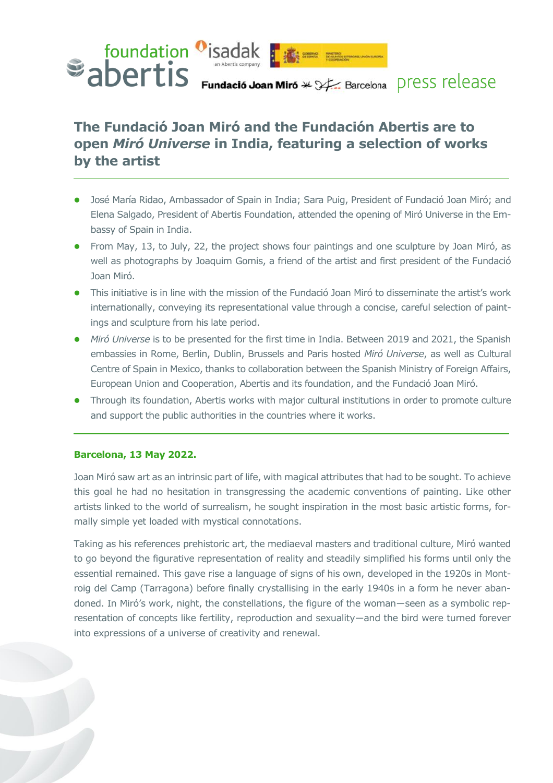

# **The Fundació Joan Miró and the Fundación Abertis are to open** *Miró Universe* **in India, featuring a selection of works by the artist**

- ⚫ José María Ridao, Ambassador of Spain in India; Sara Puig, President of Fundació Joan Miró; and Elena Salgado, President of Abertis Foundation, attended the opening of Miró Universe in the Embassy of Spain in India.
- ⚫ From May, 13, to July, 22, the project shows four paintings and one sculpture by Joan Miró, as well as photographs by Joaquim Gomis, a friend of the artist and first president of the Fundació Joan Miró.
- ⚫ This initiative is in line with the mission of the Fundació Joan Miró to disseminate the artist's work internationally, conveying its representational value through a concise, careful selection of paintings and sculpture from his late period.
- ⚫ *Miró Universe* is to be presented for the first time in India. Between 2019 and 2021, the Spanish embassies in Rome, Berlin, Dublin, Brussels and Paris hosted *Miró Universe*, as well as Cultural Centre of Spain in Mexico, thanks to collaboration between the Spanish Ministry of Foreign Affairs, European Union and Cooperation, Abertis and its foundation, and the Fundació Joan Miró.
- ⚫ Through its foundation, Abertis works with major cultural institutions in order to promote culture and support the public authorities in the countries where it works.

#### **Barcelona, 13 May 2022.**

Joan Miró saw art as an intrinsic part of life, with magical attributes that had to be sought. To achieve this goal he had no hesitation in transgressing the academic conventions of painting. Like other artists linked to the world of surrealism, he sought inspiration in the most basic artistic forms, formally simple yet loaded with mystical connotations.

Taking as his references prehistoric art, the mediaeval masters and traditional culture, Miró wanted to go beyond the figurative representation of reality and steadily simplified his forms until only the essential remained. This gave rise a language of signs of his own, developed in the 1920s in Montroig del Camp (Tarragona) before finally crystallising in the early 1940s in a form he never abandoned. In Miró's work, night, the constellations, the figure of the woman―seen as a symbolic representation of concepts like fertility, reproduction and sexuality—and the bird were turned forever into expressions of a universe of creativity and renewal.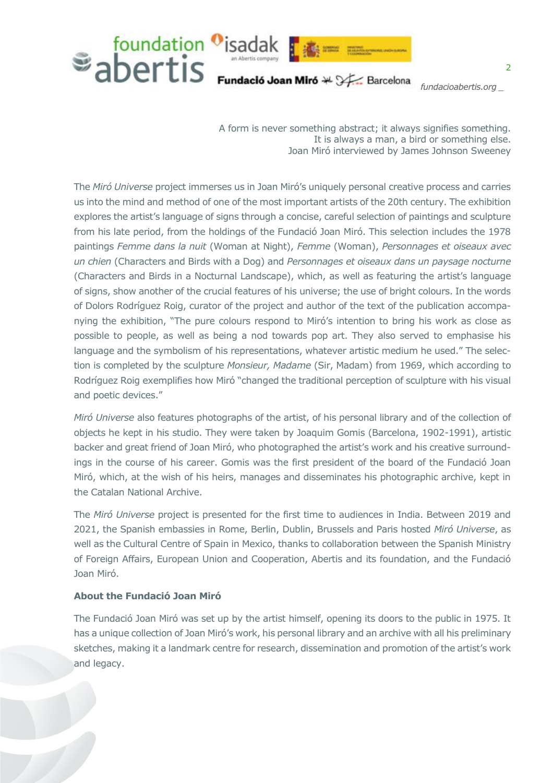

*fundaci[oabertis.org](http://www.abertis.com/prensa) \_*

A form is never something abstract; it always signifies something. It is always a man, a bird or something else. Joan Miró interviewed by James Johnson Sweeney

The *Miró Universe* project immerses us in Joan Miró's uniquely personal creative process and carries us into the mind and method of one of the most important artists of the 20th century. The exhibition explores the artist's language of signs through a concise, careful selection of paintings and sculpture from his late period, from the holdings of the Fundació Joan Miró. This selection includes the 1978 paintings *Femme dans la nuit* (Woman at Night), *Femme* (Woman), *Personnages et oiseaux avec un chien* (Characters and Birds with a Dog) and *Personnages et oiseaux dans un paysage nocturne* (Characters and Birds in a Nocturnal Landscape), which, as well as featuring the artist's language of signs, show another of the crucial features of his universe; the use of bright colours. In the words of Dolors Rodríguez Roig, curator of the project and author of the text of the publication accompanying the exhibition, "The pure colours respond to Miró's intention to bring his work as close as possible to people, as well as being a nod towards pop art. They also served to emphasise his language and the symbolism of his representations, whatever artistic medium he used." The selection is completed by the sculpture *Monsieur, Madame* (Sir, Madam) from 1969, which according to Rodríguez Roig exemplifies how Miró "changed the traditional perception of sculpture with his visual and poetic devices."

*Miró Universe* also features photographs of the artist, of his personal library and of the collection of objects he kept in his studio. They were taken by Joaquim Gomis (Barcelona, 1902-1991), artistic backer and great friend of Joan Miró, who photographed the artist's work and his creative surroundings in the course of his career. Gomis was the first president of the board of the Fundació Joan Miró, which, at the wish of his heirs, manages and disseminates his photographic archive, kept in the Catalan National Archive.

The *Miró Universe* project is presented for the first time to audiences in India. Between 2019 and 2021, the Spanish embassies in Rome, Berlin, Dublin, Brussels and Paris hosted *Miró Universe*, as well as the Cultural Centre of Spain in Mexico, thanks to collaboration between the Spanish Ministry of Foreign Affairs, European Union and Cooperation, Abertis and its foundation, and the Fundació Joan Miró.

#### **About the Fundació Joan Miró**

The Fundació Joan Miró was set up by the artist himself, opening its doors to the public in 1975. It has a unique collection of Joan Miró's work, his personal library and an archive with all his preliminary sketches, making it a landmark centre for research, dissemination and promotion of the artist's work and legacy.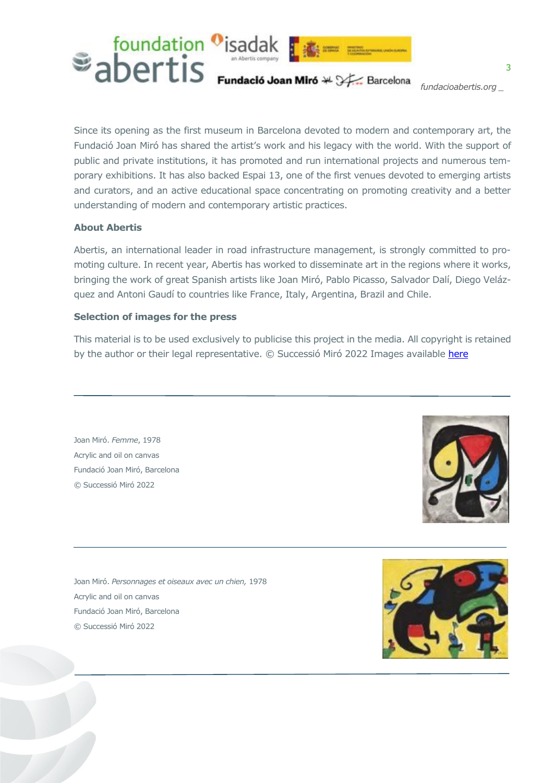

Since its opening as the first museum in Barcelona devoted to modern and contemporary art, the Fundació Joan Miró has shared the artist's work and his legacy with the world. With the support of public and private institutions, it has promoted and run international projects and numerous temporary exhibitions. It has also backed Espai 13, one of the first venues devoted to emerging artists and curators, and an active educational space concentrating on promoting creativity and a better understanding of modern and contemporary artistic practices.

## **About Abertis**

Abertis, an international leader in road infrastructure management, is strongly committed to promoting culture. In recent year, Abertis has worked to disseminate art in the regions where it works, bringing the work of great Spanish artists like Joan Miró, Pablo Picasso, Salvador Dalí, Diego Velázquez and Antoni Gaudí to countries like France, Italy, Argentina, Brazil and Chile.

## **Selection of images for the press**

This material is to be used exclusively to publicise this project in the media. All copyright is retained by the author or their legal representative. © Successió Miró 2022 Images available [here](https://drive.google.com/drive/folders/1XP4t59DgAiYMvr_CeJrBjmxGfw-c-hXs)

Joan Miró. *Femme*, 1978 Acrylic and oil on canvas Fundació Joan Miró, Barcelona © Successió Miró 2022



Joan Miró. *Personnages et oiseaux avec un chien,* 1978 Acrylic and oil on canvas Fundació Joan Miró, Barcelona © Successió Miró 2022

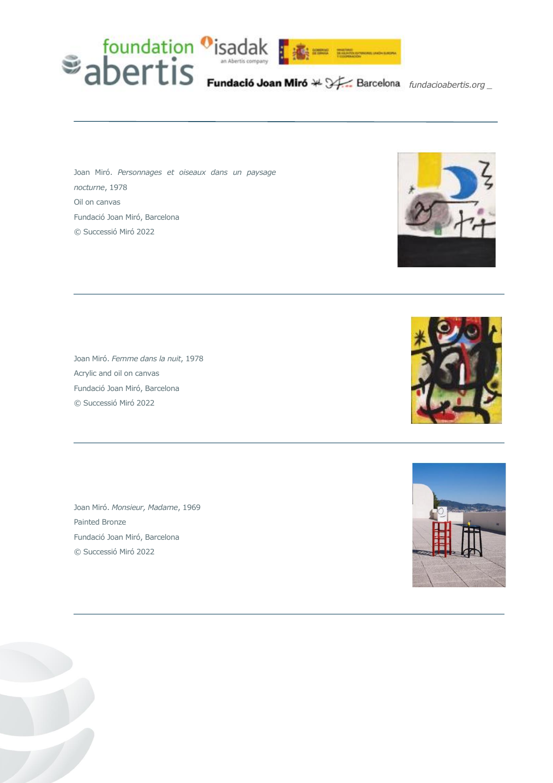

Joan Miró. *Personnages et oiseaux dans un paysage nocturne*, 1978 Oil on canvas Fundació Joan Miró, Barcelona © Successió Miró 2022

Joan Miró. *Femme dans la nuit*, 1978 Acrylic and oil on canvas Fundació Joan Miró, Barcelona © Successió Miró 2022

Joan Miró. *Monsieur, Madame*, 1969 Painted Bronze Fundació Joan Miró, Barcelona © Successió Miró 2022





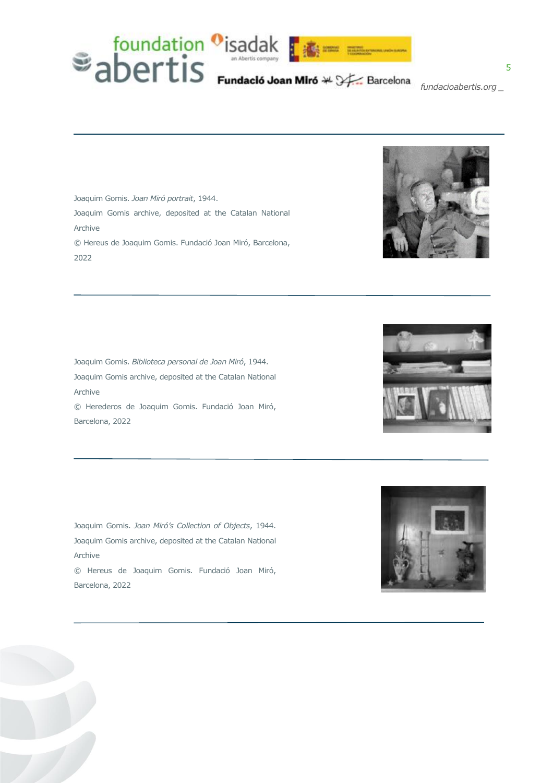

Joaquim Gomis. *Joan Miró portrait*, 1944. Joaquim Gomis archive, deposited at the Catalan National Archive © Hereus de Joaquim Gomis. Fundació Joan Miró, Barcelona, 2022

Joaquim Gomis. *Biblioteca personal de Joan Miró*, 1944. Joaquim Gomis archive, deposited at the Catalan National Archive © Herederos de Joaquim Gomis. Fundació Joan Miró, Barcelona, 2022

Joaquim Gomis. *Joan Miró's Collection of Objects*, 1944. Joaquim Gomis archive, deposited at the Catalan National Archive © Hereus de Joaquim Gomis. Fundació Joan Miró,



Barcelona, 2022